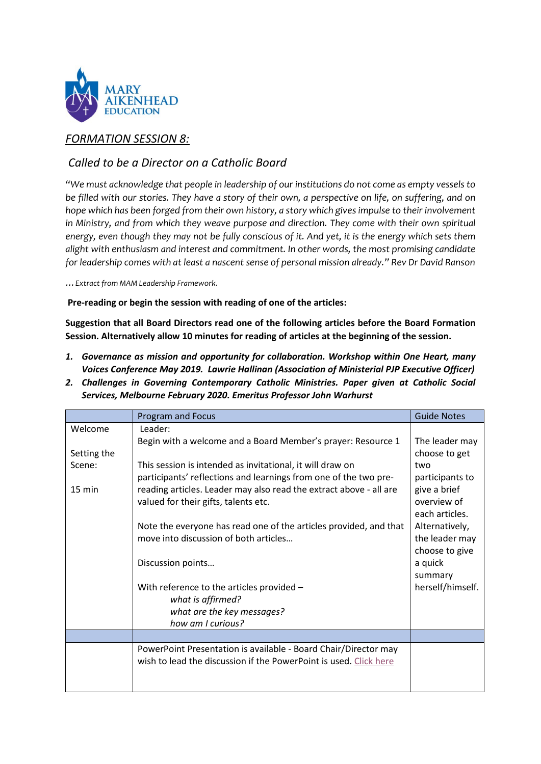

## *FORMATION SESSION 8:*

## *Called to be a Director on a Catholic Board*

*"We must acknowledge that people in leadership of our institutions do not come as empty vessels to be filled with our stories. They have a story of their own, a perspective on life, on suffering, and on hope which has been forged from their own history, a story which gives impulse to their involvement in Ministry, and from which they weave purpose and direction. They come with their own spiritual energy, even though they may not be fully conscious of it. And yet, it is the energy which sets them alight with enthusiasm and interest and commitment. In other words, the most promising candidate for leadership comes with at least a nascent sense of personal mission already." Rev Dr David Ranson*

*…Extract from MAM Leadership Framework.* 

**Pre-reading or begin the session with reading of one of the articles:** 

**Suggestion that all Board Directors read one of the following articles before the Board Formation Session. Alternatively allow 10 minutes for reading of articles at the beginning of the session.** 

- *1. Governance as mission and opportunity for collaboration. Workshop within One Heart, many Voices Conference May 2019. Lawrie Hallinan (Association of Ministerial PJP Executive Officer)*
- *2. Challenges in Governing Contemporary Catholic Ministries. Paper given at Catholic Social Services, Melbourne February 2020. Emeritus Professor John Warhurst*

|                  | <b>Program and Focus</b>                                           | <b>Guide Notes</b> |
|------------------|--------------------------------------------------------------------|--------------------|
| Welcome          | Leader:                                                            |                    |
|                  | Begin with a welcome and a Board Member's prayer: Resource 1       | The leader may     |
| Setting the      |                                                                    | choose to get      |
| Scene:           | This session is intended as invitational, it will draw on          | two                |
|                  | participants' reflections and learnings from one of the two pre-   | participants to    |
| $15 \text{ min}$ | reading articles. Leader may also read the extract above - all are | give a brief       |
|                  | valued for their gifts, talents etc.                               | overview of        |
|                  |                                                                    | each articles.     |
|                  | Note the everyone has read one of the articles provided, and that  | Alternatively,     |
|                  | move into discussion of both articles                              | the leader may     |
|                  |                                                                    | choose to give     |
|                  | Discussion points                                                  | a quick            |
|                  |                                                                    | summary            |
|                  | With reference to the articles provided -                          | herself/himself.   |
|                  | what is affirmed?                                                  |                    |
|                  | what are the key messages?                                         |                    |
|                  | how am I curious?                                                  |                    |
|                  |                                                                    |                    |
|                  | PowerPoint Presentation is available - Board Chair/Director may    |                    |
|                  | wish to lead the discussion if the PowerPoint is used. Click here  |                    |
|                  |                                                                    |                    |
|                  |                                                                    |                    |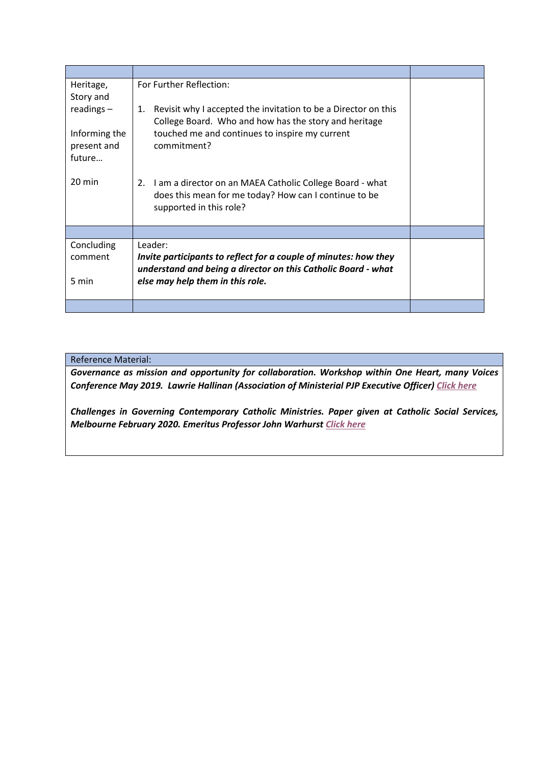| Heritage,             | For Further Reflection:                                              |  |
|-----------------------|----------------------------------------------------------------------|--|
| Story and             |                                                                      |  |
| readings $-$          | Revisit why I accepted the invitation to be a Director on this<br>1. |  |
|                       | College Board. Who and how has the story and heritage                |  |
| Informing the         | touched me and continues to inspire my current<br>commitment?        |  |
| present and<br>future |                                                                      |  |
|                       |                                                                      |  |
| $20 \text{ min}$      | I am a director on an MAEA Catholic College Board - what<br>2.       |  |
|                       | does this mean for me today? How can I continue to be                |  |
|                       | supported in this role?                                              |  |
|                       |                                                                      |  |
|                       |                                                                      |  |
| Concluding            | Leader:                                                              |  |
| comment               | Invite participants to reflect for a couple of minutes: how they     |  |
|                       | understand and being a director on this Catholic Board - what        |  |
| 5 min                 | else may help them in this role.                                     |  |
|                       |                                                                      |  |

## Reference Material:

*Governance as mission and opportunity for collaboration. Workshop within One Heart, many Voices Conference May 2019. Lawrie Hallinan (Association of Ministerial PJP Executive Officer[\) Click here](https://www.btewk.com.au/wp-content/uploads/2021/03/Governance-as-mission-and-opportunity-for-collaboration.pdf)*

*Challenges in Governing Contemporary Catholic Ministries. Paper given at Catholic Social Services, Melbourne February 2020. Emeritus Professor John Warhurs[t Click here](https://www.btewk.com.au/wp-content/uploads/2021/03/Challenges-in-Governing-Contemporary-Catholic-Ministries.pdf)*